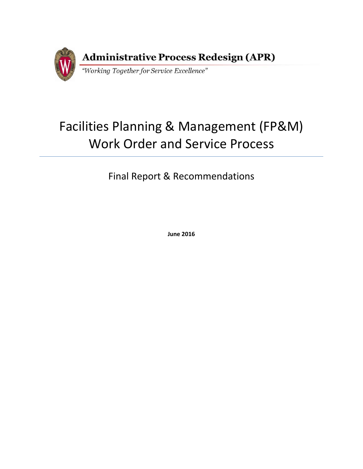

# Facilities Planning & Management (FP&M) Work Order and Service Process

Final Report & Recommendations

**June 2016**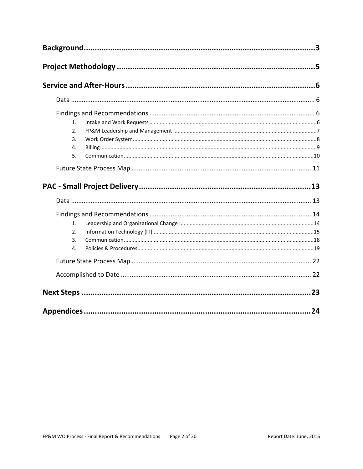| 1. |  |
|----|--|
| 2. |  |
| 3. |  |
| 4. |  |
| 5. |  |
|    |  |
|    |  |
|    |  |
|    |  |
| 1. |  |
| 2. |  |
| 3. |  |
| 4. |  |
|    |  |
|    |  |
|    |  |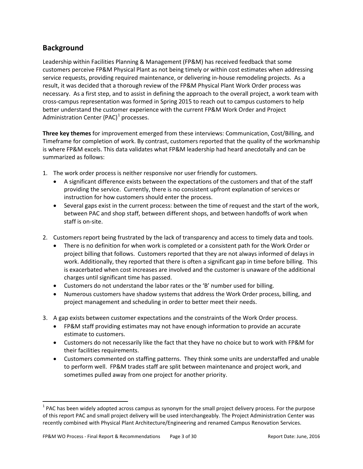# <span id="page-2-0"></span>**Background**

Leadership within Facilities Planning & Management (FP&M) has received feedback that some customers perceive FP&M Physical Plant as not being timely or within cost estimates when addressing service requests, providing required maintenance, or delivering in-house remodeling projects. As a result, it was decided that a thorough review of the FP&M Physical Plant Work Order process was necessary. As a first step, and to assist in defining the approach to the overall project, a work team with cross-campus representation was formed in Spring 2015 to reach out to campus customers to help better understand the customer experience with the current FP&M Work Order and Project Administration Center (PAC)<sup>[1](#page-2-1)</sup> processes.

**Three key themes** for improvement emerged from these interviews: Communication, Cost/Billing, and Timeframe for completion of work. By contrast, customers reported that the quality of the workmanship is where FP&M excels. This data validates what FP&M leadership had heard anecdotally and can be summarized as follows:

- 1. The work order process is neither responsive nor user friendly for customers.
	- A significant difference exists between the expectations of the customers and that of the staff providing the service. Currently, there is no consistent upfront explanation of services or instruction for how customers should enter the process.
	- Several gaps exist in the current process: between the time of request and the start of the work, between PAC and shop staff, between different shops, and between handoffs of work when staff is on-site.
- 2. Customers report being frustrated by the lack of transparency and access to timely data and tools.
	- There is no definition for when work is completed or a consistent path for the Work Order or project billing that follows. Customers reported that they are not always informed of delays in work. Additionally, they reported that there is often a significant gap in time before billing. This is exacerbated when cost increases are involved and the customer is unaware of the additional charges until significant time has passed.
	- Customers do not understand the labor rates or the 'B' number used for billing.
	- Numerous customers have shadow systems that address the Work Order process, billing, and project management and scheduling in order to better meet their needs.
- 3. A gap exists between customer expectations and the constraints of the Work Order process.
	- FP&M staff providing estimates may not have enough information to provide an accurate estimate to customers.
	- Customers do not necessarily like the fact that they have no choice but to work with FP&M for their facilities requirements.
	- Customers commented on staffing patterns. They think some units are understaffed and unable to perform well. FP&M trades staff are split between maintenance and project work, and sometimes pulled away from one project for another priority.

<span id="page-2-1"></span> $1$  PAC has been widely adopted across campus as synonym for the small project delivery process. For the purpose of this report PAC and small project delivery will be used interchangeably. The Project Administration Center was recently combined with Physical Plant Architecture/Engineering and renamed Campus Renovation Services.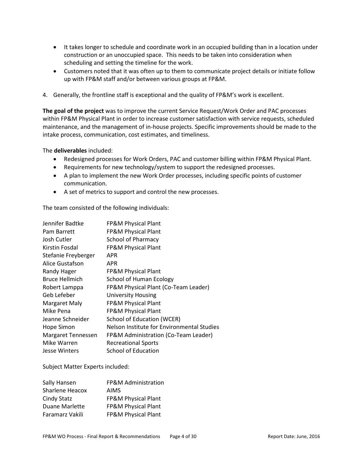- It takes longer to schedule and coordinate work in an occupied building than in a location under construction or an unoccupied space. This needs to be taken into consideration when scheduling and setting the timeline for the work.
- Customers noted that it was often up to them to communicate project details or initiate follow up with FP&M staff and/or between various groups at FP&M.
- 4. Generally, the frontline staff is exceptional and the quality of FP&M's work is excellent.

**The goal of the project** was to improve the current Service Request/Work Order and PAC processes within FP&M Physical Plant in order to increase customer satisfaction with service requests, scheduled maintenance, and the management of in-house projects. Specific improvements should be made to the intake process, communication, cost estimates, and timeliness.

The **deliverables** included:

- Redesigned processes for Work Orders, PAC and customer billing within FP&M Physical Plant.
- Requirements for new technology/system to support the redesigned processes.
- A plan to implement the new Work Order processes, including specific points of customer communication.
- A set of metrics to support and control the new processes.

The team consisted of the following individuals:

| Jennifer Badtke     | FP&M Physical Plant                        |
|---------------------|--------------------------------------------|
| Pam Barrett         | FP&M Physical Plant                        |
| Josh Cutler         | <b>School of Pharmacy</b>                  |
| Kirstin Fosdal      | FP&M Physical Plant                        |
| Stefanie Freyberger | APR                                        |
| Alice Gustafson     | APR                                        |
| Randy Hager         | <b>FP&amp;M Physical Plant</b>             |
| Bruce Hellmich      | <b>School of Human Ecology</b>             |
| Robert Lamppa       | FP&M Physical Plant (Co-Team Leader)       |
| Geb Lefeber         | <b>University Housing</b>                  |
| Margaret Maly       | FP&M Physical Plant                        |
| Mike Pena           | FP&M Physical Plant                        |
| Jeanne Schneider    | School of Education (WCER)                 |
| Hope Simon          | Nelson Institute for Environmental Studies |
| Margaret Tennessen  | FP&M Administration (Co-Team Leader)       |
| Mike Warren         | <b>Recreational Sports</b>                 |
| Jesse Winters       | School of Education                        |

Subject Matter Experts included:

| Sally Hansen    | FP&M Administration |
|-----------------|---------------------|
| Sharlene Heacox | <b>AIMS</b>         |
| Cindy Statz     | FP&M Physical Plant |
| Duane Marlette  | FP&M Physical Plant |
| Faramarz Vakili | FP&M Physical Plant |
|                 |                     |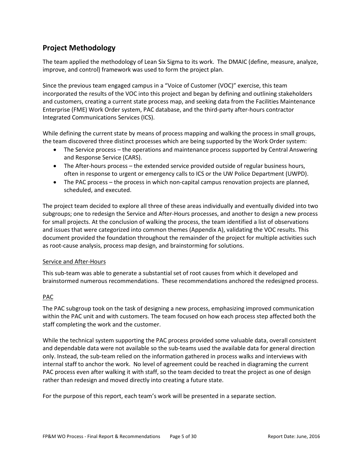# <span id="page-4-0"></span>**Project Methodology**

The team applied the methodology of Lean Six Sigma to its work. The DMAIC (define, measure, analyze, improve, and control) framework was used to form the project plan.

Since the previous team engaged campus in a "Voice of Customer (VOC)" exercise, this team incorporated the results of the VOC into this project and began by defining and outlining stakeholders and customers, creating a current state process map, and seeking data from the Facilities Maintenance Enterprise (FME) Work Order system, PAC database, and the third-party after-hours contractor Integrated Communications Services (ICS).

While defining the current state by means of process mapping and walking the process in small groups, the team discovered three distinct processes which are being supported by the Work Order system:

- The Service process the operations and maintenance process supported by Central Answering and Response Service (CARS).
- The After-hours process the extended service provided outside of regular business hours, often in response to urgent or emergency calls to ICS or the UW Police Department (UWPD).
- The PAC process the process in which non-capital campus renovation projects are planned, scheduled, and executed.

The project team decided to explore all three of these areas individually and eventually divided into two subgroups; one to redesign the Service and After-Hours processes, and another to design a new process for small projects. At the conclusion of walking the process, the team identified a list of observations and issues that were categorized into common themes (Appendix A), validating the VOC results. This document provided the foundation throughout the remainder of the project for multiple activities such as root-cause analysis, process map design, and brainstorming for solutions.

### Service and After-Hours

This sub-team was able to generate a substantial set of root causes from which it developed and brainstormed numerous recommendations. These recommendations anchored the redesigned process.

### PAC

The PAC subgroup took on the task of designing a new process, emphasizing improved communication within the PAC unit and with customers. The team focused on how each process step affected both the staff completing the work and the customer.

While the technical system supporting the PAC process provided some valuable data, overall consistent and dependable data were not available so the sub-teams used the available data for general direction only. Instead, the sub-team relied on the information gathered in process walks and interviews with internal staff to anchor the work. No level of agreement could be reached in diagraming the current PAC process even after walking it with staff, so the team decided to treat the project as one of design rather than redesign and moved directly into creating a future state.

For the purpose of this report, each team's work will be presented in a separate section.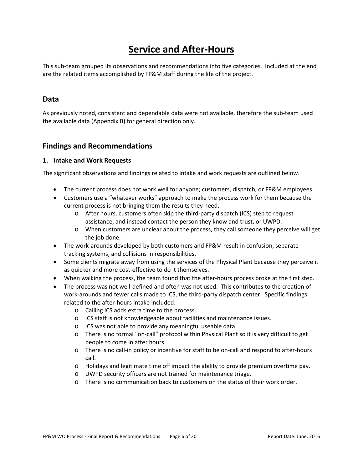# **Service and After-Hours**

<span id="page-5-0"></span>This sub-team grouped its observations and recommendations into five categories. Included at the end are the related items accomplished by FP&M staff during the life of the project.

### <span id="page-5-1"></span>**Data**

As previously noted, consistent and dependable data were not available, therefore the sub-team used the available data (Appendix B) for general direction only.

## <span id="page-5-2"></span>**Findings and Recommendations**

### <span id="page-5-3"></span>**1. Intake and Work Requests**

The significant observations and findings related to intake and work requests are outlined below.

- The current process does not work well for anyone; customers, dispatch, or FP&M employees.
- Customers use a "whatever works" approach to make the process work for them because the current process is not bringing them the results they need.
	- o After hours, customers often skip the third-party dispatch (ICS) step to request assistance, and instead contact the person they know and trust, or UWPD.
	- o When customers are unclear about the process, they call someone they perceive will get the job done.
- The work-arounds developed by both customers and FP&M result in confusion, separate tracking systems, and collisions in responsibilities.
- Some clients migrate away from using the services of the Physical Plant because they perceive it as quicker and more cost-effective to do it themselves.
- When walking the process, the team found that the after-hours process broke at the first step.
- The process was not well-defined and often was not used. This contributes to the creation of work-arounds and fewer calls made to ICS, the third-party dispatch center. Specific findings related to the after-hours intake included:
	- o Calling ICS adds extra time to the process.
	- o ICS staff is not knowledgeable about facilities and maintenance issues.
	- o ICS was not able to provide any meaningful useable data.
	- o There is no formal "on-call" protocol within Physical Plant so it is very difficult to get people to come in after hours.
	- o There is no call-in policy or incentive for staff to be on-call and respond to after-hours call.
	- o Holidays and legitimate time off impact the ability to provide premium overtime pay.
	- o UWPD security officers are not trained for maintenance triage.
	- o There is no communication back to customers on the status of their work order.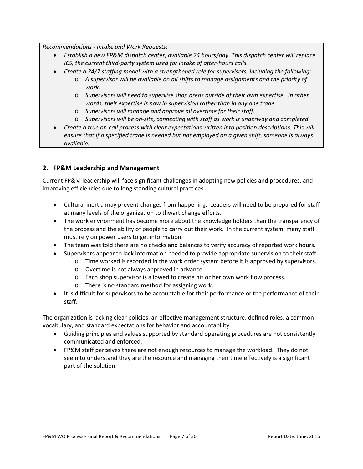*Recommendations - Intake and Work Requests:*

- *Establish a new FP&M dispatch center, available 24 hours/day. This dispatch center will replace ICS, the current third-party system used for intake of after-hours calls.*
- *Create a 24/7 staffing model with a strengthened role for supervisors, including the following:*
	- o *A supervisor will be available on all shifts to manage assignments and the priority of work.*
	- o *Supervisors will need to supervise shop areas outside of their own expertise. In other words, their expertise is now in supervision rather than in any one trade.*
	- o *Supervisors will manage and approve all overtime for their staff.*
	- o *Supervisors will be on-site, connecting with staff as work is underway and completed.*
- *Create a true on-call process with clear expectations written into position descriptions. This will ensure that if a specified trade is needed but not employed on a given shift, someone is always available.*

### <span id="page-6-0"></span>**2. FP&M Leadership and Management**

Current FP&M leadership will face significant challenges in adopting new policies and procedures, and improving efficiencies due to long standing cultural practices.

- Cultural inertia may prevent changes from happening. Leaders will need to be prepared for staff at many levels of the organization to thwart change efforts.
- The work environment has become more about the knowledge holders than the transparency of the process and the ability of people to carry out their work. In the current system, many staff must rely on power users to get information.
- The team was told there are no checks and balances to verify accuracy of reported work hours.
- Supervisors appear to lack information needed to provide appropriate supervision to their staff.
	- o Time worked is recorded in the work order system before it is approved by supervisors.
		- o Overtime is not always approved in advance.
		- o Each shop supervisor is allowed to create his or her own work flow process.
		- o There is no standard method for assigning work.
- It is difficult for supervisors to be accountable for their performance or the performance of their staff.

The organization is lacking clear policies, an effective management structure, defined roles, a common vocabulary, and standard expectations for behavior and accountability.

- Guiding principles and values supported by standard operating procedures are not consistently communicated and enforced.
- FP&M staff perceives there are not enough resources to manage the workload. They do not seem to understand they are the resource and managing their time effectively is a significant part of the solution.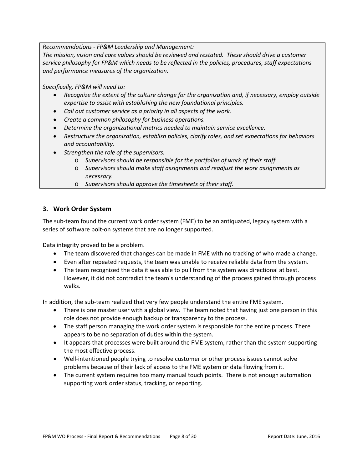*Recommendations - FP&M Leadership and Management:*

*The mission, vision and core values should be reviewed and restated. These should drive a customer service philosophy for FP&M which needs to be reflected in the policies, procedures, staff expectations and performance measures of the organization.*

*Specifically, FP&M will need to:*

- *Recognize the extent of the culture change for the organization and, if necessary, employ outside expertise to assist with establishing the new foundational principles.*
- *Call out customer service as a priority in all aspects of the work.*
- *Create a common philosophy for business operations.*
- *Determine the organizational metrics needed to maintain service excellence.*
- *Restructure the organization, establish policies, clarify roles, and set expectations for behaviors and accountability.*
- *Strengthen the role of the supervisors.* 
	- o *Supervisors should be responsible for the portfolios of work of their staff.*
	- o *Supervisors should make staff assignments and readjust the work assignments as necessary.*
	- o *Supervisors should approve the timesheets of their staff.*

### <span id="page-7-0"></span>**3. Work Order System**

The sub-team found the current work order system (FME) to be an antiquated, legacy system with a series of software bolt-on systems that are no longer supported.

Data integrity proved to be a problem.

- The team discovered that changes can be made in FME with no tracking of who made a change.
- Even after repeated requests, the team was unable to receive reliable data from the system.
- The team recognized the data it was able to pull from the system was directional at best. However, it did not contradict the team's understanding of the process gained through process walks.

In addition, the sub-team realized that very few people understand the entire FME system.

- There is one master user with a global view. The team noted that having just one person in this role does not provide enough backup or transparency to the process.
- The staff person managing the work order system is responsible for the entire process. There appears to be no separation of duties within the system.
- It appears that processes were built around the FME system, rather than the system supporting the most effective process.
- Well-intentioned people trying to resolve customer or other process issues cannot solve problems because of their lack of access to the FME system or data flowing from it.
- The current system requires too many manual touch points. There is not enough automation supporting work order status, tracking, or reporting.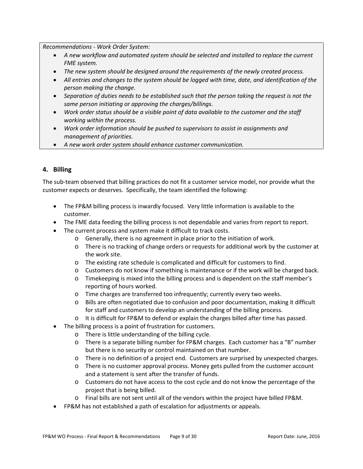*Recommendations - Work Order System:*

- *A new workflow and automated system should be selected and installed to replace the current FME system.*
- *The new system should be designed around the requirements of the newly created process.*
- *All entries and changes to the system should be logged with time, date, and identification of the person making the change.*
- *Separation of duties needs to be established such that the person taking the request is not the same person initiating or approving the charges/billings.*
- *Work order status should be a visible point of data available to the customer and the staff working within the process.*
- *Work order information should be pushed to supervisors to assist in assignments and management of priorities.*
- *A new work order system should enhance customer communication.*

### <span id="page-8-0"></span>**4. Billing**

The sub-team observed that billing practices do not fit a customer service model, nor provide what the customer expects or deserves. Specifically, the team identified the following:

- The FP&M billing process is inwardly focused. Very little information is available to the customer.
- The FME data feeding the billing process is not dependable and varies from report to report.
- The current process and system make it difficult to track costs.
	- o Generally, there is no agreement in place prior to the initiation of work.
	- o There is no tracking of change orders or requests for additional work by the customer at the work site.
	- o The existing rate schedule is complicated and difficult for customers to find.
	- o Customers do not know if something is maintenance or if the work will be charged back.
	- o Timekeeping is mixed into the billing process and is dependent on the staff member's reporting of hours worked.
	- o Time charges are transferred too infrequently; currently every two weeks.
	- o Bills are often negotiated due to confusion and poor documentation, making it difficult for staff and customers to develop an understanding of the billing process.
	- o It is difficult for FP&M to defend or explain the charges billed after time has passed.
- The billing process is a point of frustration for customers.
	- o There is little understanding of the billing cycle.
	- o There is a separate billing number for FP&M charges. Each customer has a "B" number but there is no security or control maintained on that number.
	- o There is no definition of a project end. Customers are surprised by unexpected charges.
	- o There is no customer approval process. Money gets pulled from the customer account and a statement is sent after the transfer of funds.
	- o Customers do not have access to the cost cycle and do not know the percentage of the project that is being billed.
	- o Final bills are not sent until all of the vendors within the project have billed FP&M.
- FP&M has not established a path of escalation for adjustments or appeals.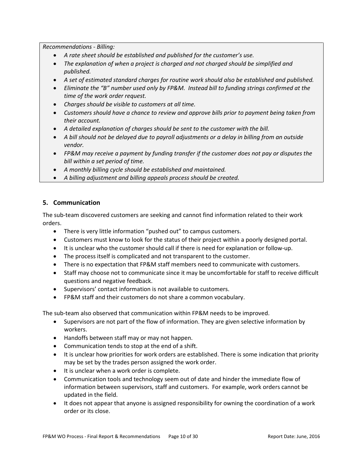*Recommendations - Billing:*

- *A rate sheet should be established and published for the customer's use.*
- *The explanation of when a project is charged and not charged should be simplified and published.*
- *A set of estimated standard charges for routine work should also be established and published.*
- *Eliminate the "B" number used only by FP&M. Instead bill to funding strings confirmed at the time of the work order request.*
- *Charges should be visible to customers at all time.*
- *Customers should have a chance to review and approve bills prior to payment being taken from their account.*
- *A detailed explanation of charges should be sent to the customer with the bill.*
- *A bill should not be delayed due to payroll adjustments or a delay in billing from an outside vendor.*
- *FP&M may receive a payment by funding transfer if the customer does not pay or disputes the bill within a set period of time.*
- *A monthly billing cycle should be established and maintained.*
- *A billing adjustment and billing appeals process should be created.*

### <span id="page-9-0"></span>**5. Communication**

The sub-team discovered customers are seeking and cannot find information related to their work orders.

- There is very little information "pushed out" to campus customers.
- Customers must know to look for the status of their project within a poorly designed portal.
- It is unclear who the customer should call if there is need for explanation or follow-up.
- The process itself is complicated and not transparent to the customer.
- There is no expectation that FP&M staff members need to communicate with customers.
- Staff may choose not to communicate since it may be uncomfortable for staff to receive difficult questions and negative feedback.
- Supervisors' contact information is not available to customers.
- FP&M staff and their customers do not share a common vocabulary.

The sub-team also observed that communication within FP&M needs to be improved.

- Supervisors are not part of the flow of information. They are given selective information by workers.
- Handoffs between staff may or may not happen.
- Communication tends to stop at the end of a shift.
- It is unclear how priorities for work orders are established. There is some indication that priority may be set by the trades person assigned the work order.
- It is unclear when a work order is complete.
- Communication tools and technology seem out of date and hinder the immediate flow of information between supervisors, staff and customers. For example, work orders cannot be updated in the field.
- It does not appear that anyone is assigned responsibility for owning the coordination of a work order or its close.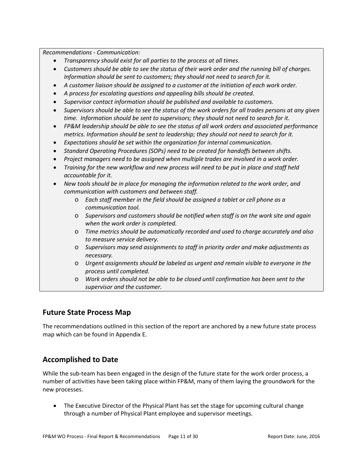*Recommendations - Communication:*

- *Transparency should exist for all parties to the process at all times.*
- *Customers should be able to see the status of their work order and the running bill of charges. Information should be sent to customers; they should not need to search for it.*
- *A customer liaison should be assigned to a customer at the initiation of each work order.*
- *A process for escalating questions and appealing bills should be created.*
- *Supervisor contact information should be published and available to customers.*
- *Supervisors should be able to see the status of the work orders for all trades persons at any given time. Information should be sent to supervisors; they should not need to search for it.*
- *FP&M leadership should be able to see the status of all work orders and associated performance metrics. Information should be sent to leadership; they should not need to search for it.*
- *Expectations should be set within the organization for internal communication.*
- *Standard Operating Procedures (SOPs) need to be created for handoffs between shifts.*
- *Project managers need to be assigned when multiple trades are involved in a work order.*
- *Training for the new workflow and new process will need to be put in place and staff held accountable for it.*
- *New tools should be in place for managing the information related to the work order, and communication with customers and between staff.*
	- o *Each staff member in the field should be assigned a tablet or cell phone as a communication tool.*
	- o *Supervisors and customers should be notified when staff is on the work site and again when the work order is completed.*
	- o *Time metrics should be automatically recorded and used to charge accurately and also to measure service delivery.*
	- o *Supervisors may send assignments to staff in priority order and make adjustments as necessary.*
	- o *Urgent assignments should be labeled as urgent and remain visible to everyone in the process until completed.*
	- o *Work orders should not be able to be closed until confirmation has been sent to the supervisor and the customer.*

### <span id="page-10-0"></span>**Future State Process Map**

The recommendations outlined in this section of the report are anchored by a new future state process map which can be found in Appendix E.

# **Accomplished to Date**

While the sub-team has been engaged in the design of the future state for the work order process, a number of activities have been taking place within FP&M, many of them laying the groundwork for the new processes.

• The Executive Director of the Physical Plant has set the stage for upcoming cultural change through a number of Physical Plant employee and supervisor meetings.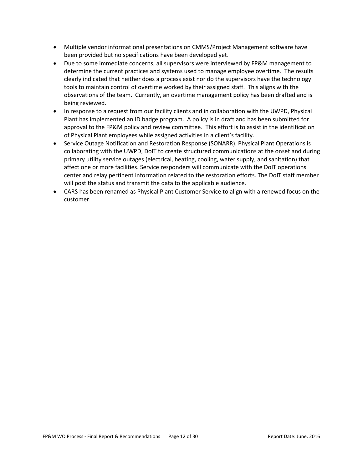- Multiple vendor informational presentations on CMMS/Project Management software have been provided but no specifications have been developed yet.
- Due to some immediate concerns, all supervisors were interviewed by FP&M management to determine the current practices and systems used to manage employee overtime. The results clearly indicated that neither does a process exist nor do the supervisors have the technology tools to maintain control of overtime worked by their assigned staff. This aligns with the observations of the team. Currently, an overtime management policy has been drafted and is being reviewed.
- In response to a request from our facility clients and in collaboration with the UWPD, Physical Plant has implemented an ID badge program. A policy is in draft and has been submitted for approval to the FP&M policy and review committee. This effort is to assist in the identification of Physical Plant employees while assigned activities in a client's facility.
- Service Outage Notification and Restoration Response (SONARR). Physical Plant Operations is collaborating with the UWPD, DoIT to create structured communications at the onset and during primary utility service outages (electrical, heating, cooling, water supply, and sanitation) that affect one or more facilities. Service responders will communicate with the DoIT operations center and relay pertinent information related to the restoration efforts. The DoIT staff member will post the status and transmit the data to the applicable audience.
- CARS has been renamed as Physical Plant Customer Service to align with a renewed focus on the customer.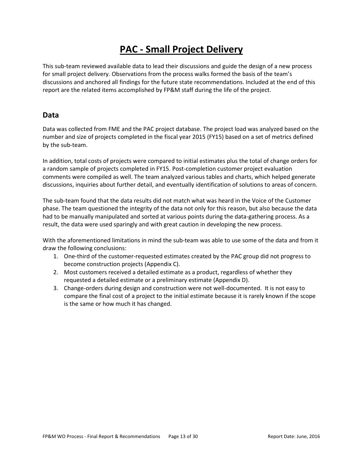# **PAC - Small Project Delivery**

<span id="page-12-0"></span>This sub-team reviewed available data to lead their discussions and guide the design of a new process for small project delivery. Observations from the process walks formed the basis of the team's discussions and anchored all findings for the future state recommendations. Included at the end of this report are the related items accomplished by FP&M staff during the life of the project.

### <span id="page-12-1"></span>**Data**

Data was collected from FME and the PAC project database. The project load was analyzed based on the number and size of projects completed in the fiscal year 2015 (FY15) based on a set of metrics defined by the sub-team.

In addition, total costs of projects were compared to initial estimates plus the total of change orders for a random sample of projects completed in FY15. Post-completion customer project evaluation comments were compiled as well. The team analyzed various tables and charts, which helped generate discussions, inquiries about further detail, and eventually identification of solutions to areas of concern.

The sub-team found that the data results did not match what was heard in the Voice of the Customer phase. The team questioned the integrity of the data not only for this reason, but also because the data had to be manually manipulated and sorted at various points during the data-gathering process. As a result, the data were used sparingly and with great caution in developing the new process.

With the aforementioned limitations in mind the sub-team was able to use some of the data and from it draw the following conclusions:

- 1. One-third of the customer-requested estimates created by the PAC group did not progress to become construction projects (Appendix C).
- 2. Most customers received a detailed estimate as a product, regardless of whether they requested a detailed estimate or a preliminary estimate (Appendix D).
- 3. Change-orders during design and construction were not well-documented. It is not easy to compare the final cost of a project to the initial estimate because it is rarely known if the scope is the same or how much it has changed.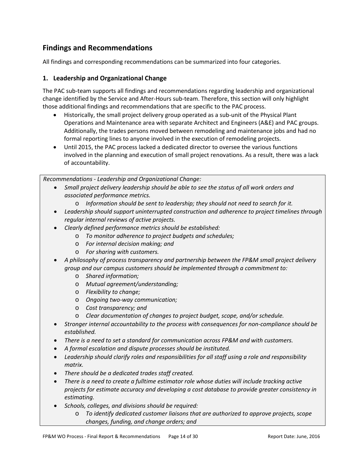# <span id="page-13-0"></span>**Findings and Recommendations**

All findings and corresponding recommendations can be summarized into four categories.

### <span id="page-13-1"></span>**1. Leadership and Organizational Change**

The PAC sub-team supports all findings and recommendations regarding leadership and organizational change identified by the Service and After-Hours sub-team. Therefore, this section will only highlight those additional findings and recommendations that are specific to the PAC process.

- Historically, the small project delivery group operated as a sub-unit of the Physical Plant Operations and Maintenance area with separate Architect and Engineers (A&E) and PAC groups. Additionally, the trades persons moved between remodeling and maintenance jobs and had no formal reporting lines to anyone involved in the execution of remodeling projects.
- Until 2015, the PAC process lacked a dedicated director to oversee the various functions involved in the planning and execution of small project renovations. As a result, there was a lack of accountability.

*Recommendations - Leadership and Organizational Change:* 

- *Small project delivery leadership should be able to see the status of all work orders and associated performance metrics.* 
	- o *Information should be sent to leadership; they should not need to search for it.*
- *Leadership should support uninterrupted construction and adherence to project timelines through regular internal reviews of active projects.*
- *Clearly defined performance metrics should be established:*
	- o *To monitor adherence to project budgets and schedules;*
	- o *For internal decision making; and*
	- o *For sharing with customers.*
- *A philosophy of process transparency and partnership between the FP&M small project delivery group and our campus customers should be implemented through a commitment to:*
	- o *Shared information;*
	- o *Mutual agreement/understanding;*
	- o *Flexibility to change;*
	- o *Ongoing two-way communication;*
	- o *Cost transparency; and*
	- o *Clear documentation of changes to project budget, scope, and/or schedule.*
- *Stronger internal accountability to the process with consequences for non-compliance should be established.*
- *There is a need to set a standard for communication across FP&M and with customers.*
- *A formal escalation and dispute processes should be instituted.*
- *Leadership should clarify roles and responsibilities for all staff using a role and responsibility matrix.*
- *There should be a dedicated trades staff created.*
- *There is a need to create a fulltime estimator role whose duties will include tracking active projects for estimate accuracy and developing a cost database to provide greater consistency in estimating.*
- *Schools, colleges, and divisions should be required:*
	- o *To identify dedicated customer liaisons that are authorized to approve projects, scope changes, funding, and change orders; and*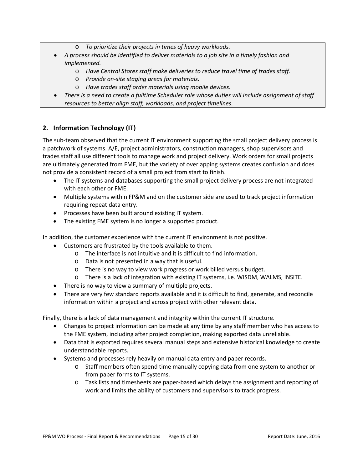- o *To prioritize their projects in times of heavy workloads.*
- *A process should be identified to deliver materials to a job site in a timely fashion and implemented.*
	- o *Have Central Stores staff make deliveries to reduce travel time of trades staff.*
	- o *Provide on-site staging areas for materials.*
	- o *Have trades staff order materials using mobile devices.*
- *There is a need to create a fulltime Scheduler role whose duties will include assignment of staff resources to better align staff, workloads, and project timelines.*

### <span id="page-14-0"></span>**2. Information Technology (IT)**

The sub-team observed that the current IT environment supporting the small project delivery process is a patchwork of systems. A/E, project administrators, construction managers, shop supervisors and trades staff all use different tools to manage work and project delivery. Work orders for small projects are ultimately generated from FME, but the variety of overlapping systems creates confusion and does not provide a consistent record of a small project from start to finish.

- The IT systems and databases supporting the small project delivery process are not integrated with each other or FME.
- Multiple systems within FP&M and on the customer side are used to track project information requiring repeat data entry.
- Processes have been built around existing IT system.
- The existing FME system is no longer a supported product.

In addition, the customer experience with the current IT environment is not positive.

- Customers are frustrated by the tools available to them.
	- o The interface is not intuitive and it is difficult to find information.
	- o Data is not presented in a way that is useful.
	- o There is no way to view work progress or work billed versus budget.
	- o There is a lack of integration with existing IT systems, i.e. WISDM, WALMS, INSITE.
- There is no way to view a summary of multiple projects.
- There are very few standard reports available and it is difficult to find, generate, and reconcile information within a project and across project with other relevant data.

Finally, there is a lack of data management and integrity within the current IT structure.

- Changes to project information can be made at any time by any staff member who has access to the FME system, including after project completion, making exported data unreliable.
- Data that is exported requires several manual steps and extensive historical knowledge to create understandable reports.
- Systems and processes rely heavily on manual data entry and paper records.
	- o Staff members often spend time manually copying data from one system to another or from paper forms to IT systems.
	- o Task lists and timesheets are paper-based which delays the assignment and reporting of work and limits the ability of customers and supervisors to track progress.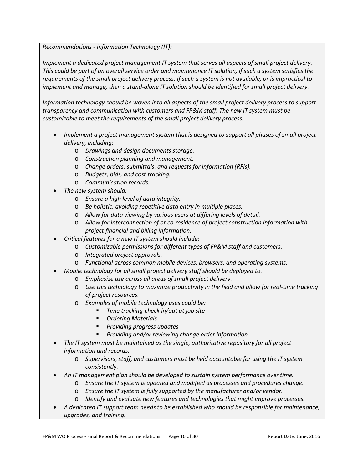*Recommendations - Information Technology (IT):*

*Implement a dedicated project management IT system that serves all aspects of small project delivery. This could be part of an overall service order and maintenance IT solution, if such a system satisfies the requirements of the small project delivery process. If such a system is not available, or is impractical to implement and manage, then a stand-alone IT solution should be identified for small project delivery.*

*Information technology should be woven into all aspects of the small project delivery process to support transparency and communication with customers and FP&M staff. The new IT system must be customizable to meet the requirements of the small project delivery process.*

- *Implement a project management system that is designed to support all phases of small project delivery, including:*
	- o *Drawings and design documents storage.*
	- o *Construction planning and management.*
	- o *Change orders, submittals, and requests for information (RFIs).*
	- o *Budgets, bids, and cost tracking.*
	- o *Communication records.*
- *The new system should:*
	- o *Ensure a high level of data integrity.*
	- o *Be holistic, avoiding repetitive data entry in multiple places.*
	- o *Allow for data viewing by various users at differing levels of detail.*
	- o *Allow for interconnection of or co-residence of project construction information with project financial and billing information.*
- *Critical features for a new IT system should include:*
	- o *Customizable permissions for different types of FP&M staff and customers.*
	- o *Integrated project approvals.*
	- o *Functional across common mobile devices, browsers, and operating systems.*
	- *Mobile technology for all small project delivery staff should be deployed to.*
		- o *Emphasize use across all areas of small project delivery.*
		- o *Use this technology to maximize productivity in the field and allow for real-time tracking of project resources.*
		- o *Examples of mobile technology uses could be:*
			- *Time tracking-check in/out at job site*
			- *Ordering Materials*
			- *Providing progress updates*
			- *Providing and/or reviewing change order information*
- *The IT system must be maintained as the single, authoritative repository for all project information and records.*
	- o *Supervisors, staff, and customers must be held accountable for using the IT system consistently.*
- *An IT management plan should be developed to sustain system performance over time.*
	- o *Ensure the IT system is updated and modified as processes and procedures change.*
	- o *Ensure the IT system is fully supported by the manufacturer and/or vendor.*
	- o *Identify and evaluate new features and technologies that might improve processes.*
- *A dedicated IT support team needs to be established who should be responsible for maintenance, upgrades, and training.*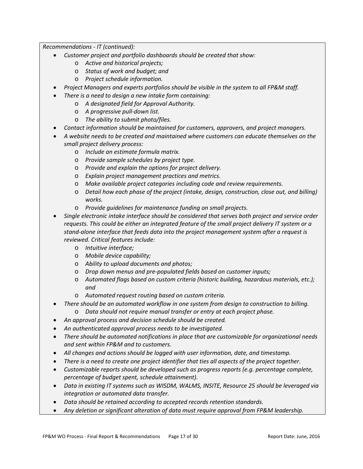*Recommendations - IT (continued):*

- *Customer project and portfolio dashboards should be created that show:*
	- o *Active and historical projects;*
	- o *Status of work and budget; and*
	- o *Project schedule information.*
- *Project Managers and experts portfolios should be visible in the system to all FP&M staff.*
	- *There is a need to design a new intake form containing:*
		- o *A designated field for Approval Authority.*
		- o *A progressive pull-down list.*
		- o *The ability to submit photo/files.*
- *Contact information should be maintained for customers, approvers, and project managers.*
- *A website needs to be created and maintained where customers can educate themselves on the small project delivery process:*
	- o *Include an estimate formula matrix.*
	- o *Provide sample schedules by project type.*
	- o *Provide and explain the options for project delivery.*
	- o *Explain project management practices and metrics.*
	- o *Make available project categories including code and review requirements.*
	- o *Detail how each phase of the project (intake, design, construction, close out, and billing) works.*
	- o *Provide guidelines for maintenance funding on small projects.*
- *Single electronic intake interface should be considered that serves both project and service order requests. This could be either an integrated feature of the small project delivery IT system or a stand-alone interface that feeds data into the project management system after a request is reviewed. Critical features include:*
	- o *Intuitive interface;*
	- o *Mobile device capability;*
	- o *Ability to upload documents and photos;*
	- o *Drop down menus and pre-populated fields based on customer inputs;*
	- o *Automated flags based on custom criteria (historic building, hazardous materials, etc.); and*
	- o *Automated request routing based on custom criteria.*
- *There should be an automated workflow in one system from design to construction to billing.*
	- o *Data should not require manual transfer or entry at each project phase.*
- *An approval process and decision schedule should be created.*
- *An authenticated approval process needs to be investigated.*
- *There should be automated notifications in place that are customizable for organizational needs and sent within FP&M and to customers.*
- *All changes and actions should be logged with user information, date, and timestamp.*
- *There is a need to create one project identifier that ties all aspects of the project together.*
- *Customizable reports should be developed such as progress reports (e.g. percentage complete, percentage of budget spent, schedule attainment).*
- *Data in existing IT systems such as WISDM, WALMS, INSITE, Resource 25 should be leveraged via integration or automated data transfer.*
- *Data should be retained according to accepted records retention standards.*
- *Any deletion or significant alteration of data must require approval from FP&M leadership.*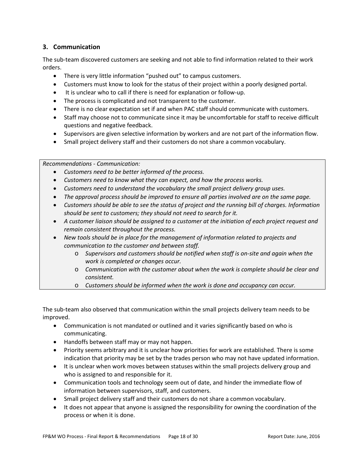### <span id="page-17-0"></span>**3. Communication**

The sub-team discovered customers are seeking and not able to find information related to their work orders.

- There is very little information "pushed out" to campus customers.
- Customers must know to look for the status of their project within a poorly designed portal.
- It is unclear who to call if there is need for explanation or follow-up.
- The process is complicated and not transparent to the customer.
- There is no clear expectation set if and when PAC staff should communicate with customers.
- Staff may choose not to communicate since it may be uncomfortable for staff to receive difficult questions and negative feedback.
- Supervisors are given selective information by workers and are not part of the information flow.
- Small project delivery staff and their customers do not share a common vocabulary.

*Recommendations - Communication:*

- *Customers need to be better informed of the process.*
- *Customers need to know what they can expect, and how the process works.*
- *Customers need to understand the vocabulary the small project delivery group uses.*
- *The approval process should be improved to ensure all parties involved are on the same page.*
- *Customers should be able to see the status of project and the running bill of charges. Information should be sent to customers; they should not need to search for it.*
- *A customer liaison should be assigned to a customer at the initiation of each project request and remain consistent throughout the process.*
- *New tools should be in place for the management of information related to projects and communication to the customer and between staff.*
	- o *Supervisors and customers should be notified when staff is on-site and again when the work is completed or changes occur.*
	- o *Communication with the customer about when the work is complete should be clear and consistent.*
	- o *Customers should be informed when the work is done and occupancy can occur.*

The sub-team also observed that communication within the small projects delivery team needs to be improved.

- Communication is not mandated or outlined and it varies significantly based on who is communicating.
- Handoffs between staff may or may not happen.
- Priority seems arbitrary and it is unclear how priorities for work are established. There is some indication that priority may be set by the trades person who may not have updated information.
- It is unclear when work moves between statuses within the small projects delivery group and who is assigned to and responsible for it.
- Communication tools and technology seem out of date, and hinder the immediate flow of information between supervisors, staff, and customers.
- Small project delivery staff and their customers do not share a common vocabulary.
- It does not appear that anyone is assigned the responsibility for owning the coordination of the process or when it is done.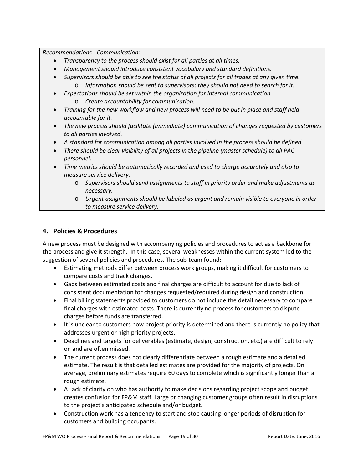*Recommendations - Communication:*

- *Transparency to the process should exist for all parties at all times.*
- *Management should introduce consistent vocabulary and standard definitions.*
- *Supervisors should be able to see the status of all projects for all trades at any given time.*  o *Information should be sent to supervisors; they should not need to search for it.*
- *Expectations should be set within the organization for internal communication.*
	- o *Create accountability for communication.*
- *Training for the new workflow and new process will need to be put in place and staff held accountable for it.*
- *The new process should facilitate (immediate) communication of changes requested by customers to all parties involved.*
- *A standard for communication among all parties involved in the process should be defined.*
- *There should be clear visibility of all projects in the pipeline (master schedule) to all PAC personnel.*
- *Time metrics should be automatically recorded and used to charge accurately and also to measure service delivery.*
	- o *Supervisors should send assignments to staff in priority order and make adjustments as necessary.*
	- o *Urgent assignments should be labeled as urgent and remain visible to everyone in order to measure service delivery.*

### <span id="page-18-0"></span>**4. Policies & Procedures**

A new process must be designed with accompanying policies and procedures to act as a backbone for the process and give it strength. In this case, several weaknesses within the current system led to the suggestion of several policies and procedures. The sub-team found:

- Estimating methods differ between process work groups, making it difficult for customers to compare costs and track charges.
- Gaps between estimated costs and final charges are difficult to account for due to lack of consistent documentation for changes requested/required during design and construction.
- Final billing statements provided to customers do not include the detail necessary to compare final charges with estimated costs. There is currently no process for customers to dispute charges before funds are transferred.
- It is unclear to customers how project priority is determined and there is currently no policy that addresses urgent or high priority projects.
- Deadlines and targets for deliverables (estimate, design, construction, etc.) are difficult to rely on and are often missed.
- The current process does not clearly differentiate between a rough estimate and a detailed estimate. The result is that detailed estimates are provided for the majority of projects. On average, preliminary estimates require 60 days to complete which is significantly longer than a rough estimate.
- A Lack of clarity on who has authority to make decisions regarding project scope and budget creates confusion for FP&M staff. Large or changing customer groups often result in disruptions to the project's anticipated schedule and/or budget.
- Construction work has a tendency to start and stop causing longer periods of disruption for customers and building occupants.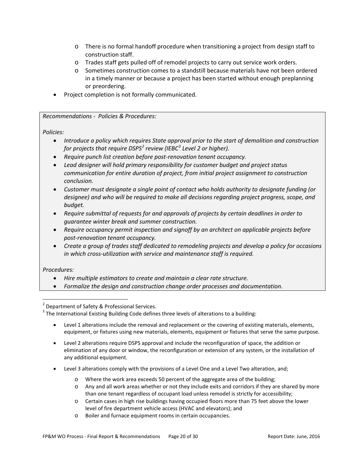- o There is no formal handoff procedure when transitioning a project from design staff to construction staff.
- o Trades staff gets pulled off of remodel projects to carry out service work orders.
- o Sometimes construction comes to a standstill because materials have not been ordered in a timely manner or because a project has been started without enough preplanning or preordering.
- Project completion is not formally communicated.

### *Recommendations - Policies & Procedures:*

*Policies:*

- *Introduce a policy which requires State approval prior to the start of demolition and construction for projects that require DSPS[2](#page-19-0) review (IEBC[3](#page-19-1) Level 2 or higher).*
- *Require punch list creation before post-renovation tenant occupancy.*
- *Lead designer will hold primary responsibility for customer budget and project status communication for entire duration of project, from initial project assignment to construction conclusion.*
- *Customer must designate a single point of contact who holds authority to designate funding (or designee) and who will be required to make all decisions regarding project progress, scope, and budget.*
- *Require submittal of requests for and approvals of projects by certain deadlines in order to guarantee winter break and summer construction.*
- *Require occupancy permit inspection and signoff by an architect on applicable projects before post-renovation tenant occupancy.*
- *Create a group of trades staff dedicated to remodeling projects and develop a policy for occasions in which cross-utilization with service and maintenance staff is required.*

### *Procedures:*

- *Hire multiple estimators to create and maintain a clear rate structure.*
- *Formalize the design and construction change order processes and documentation.*

- Level 1 alterations include the removal and replacement or the covering of existing materials, elements, equipment, or fixtures using new materials, elements, equipment or fixtures that serve the same purpose.
- Level 2 alterations require DSPS approval and include the reconfiguration of space, the addition or elimination of any door or window, the reconfiguration or extension of any system, or the installation of any additional equipment.
- Level 3 alterations comply with the provisions of a Level One and a Level Two alteration, and;
	- o Where the work area exceeds 50 percent of the aggregate area of the building;
	- o Any and all work areas whether or not they include exits and corridors if they are shared by more than one tenant regardless of occupant load unless remodel is strictly for accessibility;
	- o Certain cases in high rise buildings having occupied floors more than 75 feet above the lower level of fire department vehicle access (HVAC and elevators); and
	- o Boiler and furnace equipment rooms in certain occupancies.

<span id="page-19-1"></span><span id="page-19-0"></span>

<sup>&</sup>lt;sup>2</sup> Department of Safety & Professional Services.<br><sup>3</sup> The International Existing Building Code defines three levels of alterations to a building: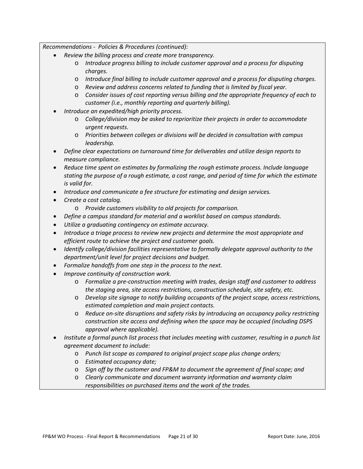*Recommendations - Policies & Procedures (continued):*

- *Review the billing process and create more transparency.*
	- o *Introduce progress billing to include customer approval and a process for disputing charges.*
	- o *Introduce final billing to include customer approval and a process for disputing charges.*
	- o *Review and address concerns related to funding that is limited by fiscal year.*
	- o *Consider issues of cost reporting versus billing and the appropriate frequency of each to customer (i.e., monthly reporting and quarterly billing).*
- *Introduce an expedited/high priority process.*
	- o *College/division may be asked to reprioritize their projects in order to accommodate urgent requests.*
	- o *Priorities between colleges or divisions will be decided in consultation with campus leadership.*
- *Define clear expectations on turnaround time for deliverables and utilize design reports to measure compliance.*
- *Reduce time spent on estimates by formalizing the rough estimate process. Include language stating the purpose of a rough estimate, a cost range, and period of time for which the estimate is valid for.*
- *Introduce and communicate a fee structure for estimating and design services.*
- *Create a cost catalog.*
	- o *Provide customers visibility to old projects for comparison.*
- *Define a campus standard for material and a worklist based on campus standards.*
- *Utilize a graduating contingency on estimate accuracy.*
- *Introduce a triage process to review new projects and determine the most appropriate and efficient route to achieve the project and customer goals.*
- *Identify college/division facilities representative to formally delegate approval authority to the department/unit level for project decisions and budget.*
- *Formalize handoffs from one step in the process to the next.*
- *Improve continuity of construction work.*
	- o *Formalize a pre-construction meeting with trades, design staff and customer to address the staging area, site access restrictions, construction schedule, site safety, etc.*
	- o *Develop site signage to notify building occupants of the project scope, access restrictions, estimated completion and main project contacts.*
	- o *Reduce on-site disruptions and safety risks by introducing an occupancy policy restricting construction site access and defining when the space may be occupied (including DSPS approval where applicable).*
- *Institute a formal punch list process that includes meeting with customer, resulting in a punch list agreement document to include:*
	- o *Punch list scope as compared to original project scope plus change orders;*
	- o *Estimated occupancy date;*
	- o *Sign off by the customer and FP&M to document the agreement of final scope; and*
	- o *Clearly communicate and document warranty information and warranty claim responsibilities on purchased items and the work of the trades.*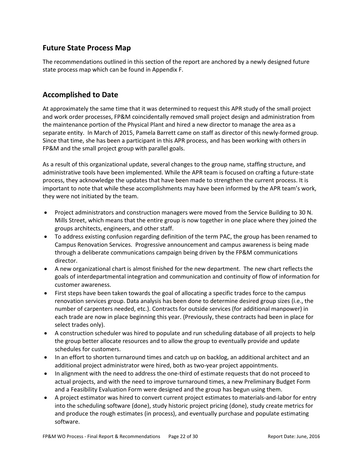# <span id="page-21-0"></span>**Future State Process Map**

The recommendations outlined in this section of the report are anchored by a newly designed future state process map which can be found in Appendix F.

# <span id="page-21-1"></span>**Accomplished to Date**

At approximately the same time that it was determined to request this APR study of the small project and work order processes, FP&M coincidentally removed small project design and administration from the maintenance portion of the Physical Plant and hired a new director to manage the area as a separate entity. In March of 2015, Pamela Barrett came on staff as director of this newly-formed group. Since that time, she has been a participant in this APR process, and has been working with others in FP&M and the small project group with parallel goals.

As a result of this organizational update, several changes to the group name, staffing structure, and administrative tools have been implemented. While the APR team is focused on crafting a future-state process, they acknowledge the updates that have been made to strengthen the current process. It is important to note that while these accomplishments may have been informed by the APR team's work, they were not initiated by the team.

- Project administrators and construction managers were moved from the Service Building to 30 N. Mills Street, which means that the entire group is now together in one place where they joined the groups architects, engineers, and other staff.
- To address existing confusion regarding definition of the term PAC, the group has been renamed to Campus Renovation Services. Progressive announcement and campus awareness is being made through a deliberate communications campaign being driven by the FP&M communications director.
- A new organizational chart is almost finished for the new department. The new chart reflects the goals of interdepartmental integration and communication and continuity of flow of information for customer awareness.
- First steps have been taken towards the goal of allocating a specific trades force to the campus renovation services group. Data analysis has been done to determine desired group sizes (i.e., the number of carpenters needed, etc.). Contracts for outside services (for additional manpower) in each trade are now in place beginning this year. (Previously, these contracts had been in place for select trades only).
- A construction scheduler was hired to populate and run scheduling database of all projects to help the group better allocate resources and to allow the group to eventually provide and update schedules for customers.
- In an effort to shorten turnaround times and catch up on backlog, an additional architect and an additional project administrator were hired, both as two-year project appointments.
- In alignment with the need to address the one-third of estimate requests that do not proceed to actual projects, and with the need to improve turnaround times, a new Preliminary Budget Form and a Feasibility Evaluation Form were designed and the group has begun using them.
- A project estimator was hired to convert current project estimates to materials-and-labor for entry into the scheduling software (done), study historic project pricing (done), study create metrics for and produce the rough estimates (in process), and eventually purchase and populate estimating software.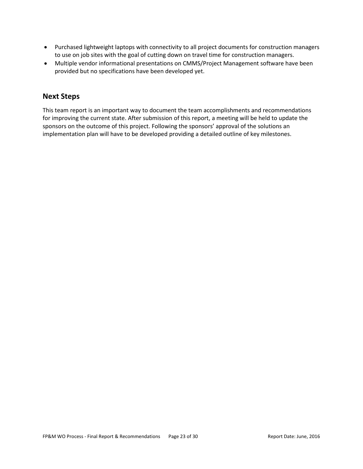- Purchased lightweight laptops with connectivity to all project documents for construction managers to use on job sites with the goal of cutting down on travel time for construction managers.
- Multiple vendor informational presentations on CMMS/Project Management software have been provided but no specifications have been developed yet.

# <span id="page-22-0"></span>**Next Steps**

This team report is an important way to document the team accomplishments and recommendations for improving the current state. After submission of this report, a meeting will be held to update the sponsors on the outcome of this project. Following the sponsors' approval of the solutions an implementation plan will have to be developed providing a detailed outline of key milestones.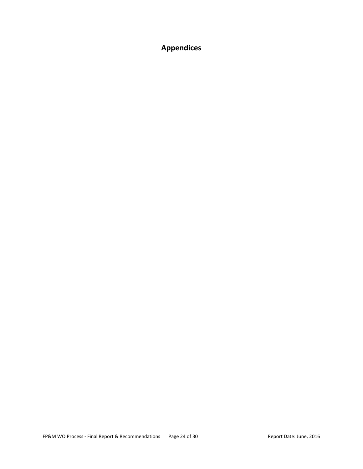<span id="page-23-0"></span>**Appendices**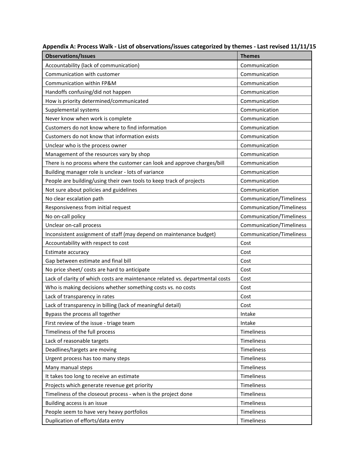| <b>Observations/Issues</b>                                                    | <b>Themes</b>            |
|-------------------------------------------------------------------------------|--------------------------|
| Accountability (lack of communication)                                        | Communication            |
| Communication with customer                                                   | Communication            |
| Communication within FP&M                                                     | Communication            |
| Handoffs confusing/did not happen                                             | Communication            |
| How is priority determined/communicated                                       | Communication            |
| Supplemental systems                                                          | Communication            |
| Never know when work is complete                                              | Communication            |
| Customers do not know where to find information                               | Communication            |
| Customers do not know that information exists                                 | Communication            |
| Unclear who is the process owner                                              | Communication            |
| Management of the resources vary by shop                                      | Communication            |
| There is no process where the customer can look and approve charges/bill      | Communication            |
| Building manager role is unclear - lots of variance                           | Communication            |
| People are building/using their own tools to keep track of projects           | Communication            |
| Not sure about policies and guidelines                                        | Communication            |
| No clear escalation path                                                      | Communication/Timeliness |
| Responsiveness from initial request                                           | Communication/Timeliness |
| No on-call policy                                                             | Communication/Timeliness |
| Unclear on-call process                                                       | Communication/Timeliness |
| Inconsistent assignment of staff (may depend on maintenance budget)           | Communication/Timeliness |
| Accountability with respect to cost                                           | Cost                     |
| Estimate accuracy                                                             | Cost                     |
| Gap between estimate and final bill                                           | Cost                     |
| No price sheet/ costs are hard to anticipate                                  | Cost                     |
| Lack of clarity of which costs are maintenance related vs. departmental costs | Cost                     |
| Who is making decisions whether something costs vs. no costs                  | Cost                     |
| Lack of transparency in rates                                                 | Cost                     |
| Lack of transparency in billing (lack of meaningful detail)                   | Cost                     |
| Bypass the process all together                                               | Intake                   |
| First review of the issue - triage team                                       | Intake                   |
| Timeliness of the full process                                                | Timeliness               |
| Lack of reasonable targets                                                    | Timeliness               |
| Deadlines/targets are moving                                                  | Timeliness               |
| Urgent process has too many steps                                             | Timeliness               |
| Many manual steps                                                             | Timeliness               |
| It takes too long to receive an estimate                                      | Timeliness               |
| Projects which generate revenue get priority                                  | Timeliness               |
| Timeliness of the closeout process - when is the project done                 | Timeliness               |
| Building access is an issue                                                   | Timeliness               |
| People seem to have very heavy portfolios                                     | Timeliness               |
| Duplication of efforts/data entry                                             | Timeliness               |

**Appendix A: Process Walk - List of observations/issues categorized by themes - Last revised 11/11/15**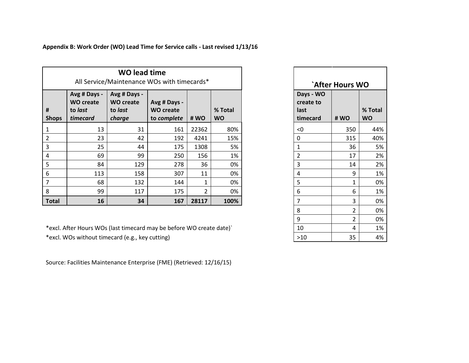**Appendix B: Work Order (WO) Lead Time for Service calls - Last revised 1/13/16**

|                   |                                                         | <b>WO lead time</b><br>All Service/Maintenance WOs with timecards* |                                                 |       |                      |
|-------------------|---------------------------------------------------------|--------------------------------------------------------------------|-------------------------------------------------|-------|----------------------|
| #<br><b>Shops</b> | Avg # Days -<br><b>WO create</b><br>to last<br>timecard | Avg # Days -<br><b>WO create</b><br>to last<br>charge              | Avg # Days -<br><b>WO create</b><br>to complete | # WO  | % Total<br><b>WO</b> |
| 1                 | 13                                                      | 31                                                                 | 161                                             | 22362 | 80%                  |
| $\overline{2}$    | 23                                                      | 42                                                                 | 192                                             | 4241  | 15%                  |
| $\mathbf{3}$      | 25                                                      | 44                                                                 | 175                                             | 1308  | 5%                   |
| $\overline{4}$    | 69                                                      | 99                                                                 | 250                                             | 156   | 1%                   |
| 5                 | 84                                                      | 129                                                                | 278                                             | 36    | 0%                   |
| 6                 | 113                                                     | 158                                                                | 307                                             | 11    | 0%                   |
| $\overline{7}$    | 68                                                      | 132                                                                | 144                                             | 1     | 0%                   |
| 8                 | 99                                                      | 117                                                                | 175                                             | 2     | 0%                   |
| <b>Total</b>      | 16                                                      | 34                                                                 | 167                                             | 28117 | 100%                 |

\*excl. After Hours WOs (last timecard may be before WO create date)` 10 4 1% \*excl. WOs without timecard (e.g., key cutting)

Source: Facilities Maintenance Enterprise (FME) (Retrieved: 12/16/15)

| `After Hours WO                |                |           |  |  |  |
|--------------------------------|----------------|-----------|--|--|--|
| Days - WO<br>create to<br>last |                | % Total   |  |  |  |
| timecard                       | #WO            | <b>WO</b> |  |  |  |
| < 0                            | 350            | 44%       |  |  |  |
| 0                              | 315            | 40%       |  |  |  |
| $\overline{1}$                 | 36             | 5%        |  |  |  |
| $\overline{2}$                 | 17             | 2%        |  |  |  |
| 3                              | 14             | 2%        |  |  |  |
| 4                              | 9              | 1%        |  |  |  |
| 5                              | 1              | 0%        |  |  |  |
| 6                              | 6              | 1%        |  |  |  |
| 7                              | 3              | 0%        |  |  |  |
| 8                              | $\overline{2}$ | 0%        |  |  |  |
| 9                              | $\overline{2}$ | 0%        |  |  |  |
| 10                             | 4              | 1%        |  |  |  |
| >10                            | 35             | 4%        |  |  |  |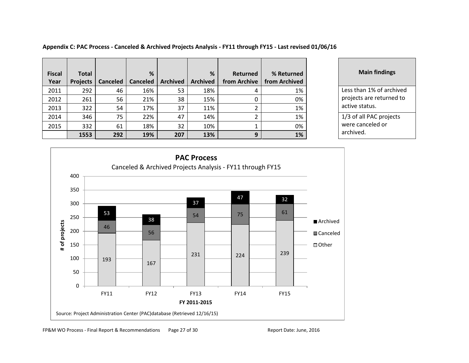**Fiscal Year Total Projects Canceled % Canceled Archived % Archived Returned from Archive % Returned from Archived**  2011 292 46 16% 53 18% 4 1% 1% Less than 1% of archived 2012 261 56 21% 38 15% 0 0% 2013 | 322 | 54 | 17% | 37 | 11% | 2 | 1% 2014 346 75 22% 47 14% 2 1% 1% 1% 1/3 of all PAC projects 2015 | 332 | 61 | 18% | 32 | 10% | 1 | 0% **1553 292 19% 207 13% 9 1%**

**Main findings** projects are returned to active status. were canceled or archived.



FP&M WO Process - Final Report & Recommendations Page 27 of 30 Report Date: June, 2016

### **Appendix C: PAC Process - Canceled & Archived Projects Analysis - FY11 through FY15 - Last revised 01/06/16**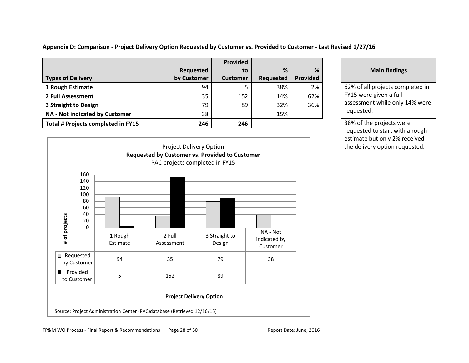**Appendix D: Comparison - Project Delivery Option Requested by Customer vs. Provided to Customer - Last Revised 1/27/16**

|                                    |                  | Provided        |           |          |
|------------------------------------|------------------|-----------------|-----------|----------|
|                                    | <b>Requested</b> | to              | %         | %        |
| <b>Types of Delivery</b>           | by Customer      | <b>Customer</b> | Requested | Provided |
| 1 Rough Estimate                   | 94               | 5               | 38%       | 2%       |
| 2 Full Assessment                  | 35               | 152             | 14%       | 62%      |
| 3 Straight to Design               | 79               | 89              | 32%       | 36%      |
| NA - Not indicated by Customer     | 38               |                 | 15%       |          |
| Total # Projects completed in FY15 | 246              | 246             |           |          |



### **Main findings**

62% of all projects completed in FY15 were given a full assessment while only 14% were requested.

**38% of the projects were** requested to start with a rough estimate but only 2% received the delivery option requested.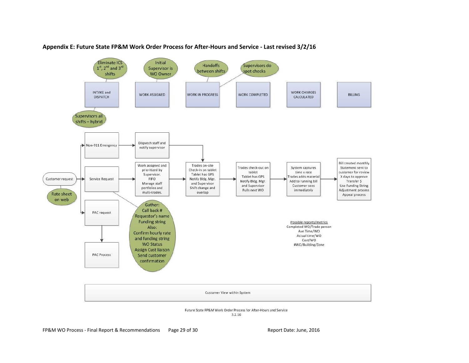

#### **Appendix E: Future State FP&M Work Order Process for After-Hours and Service - Last revised 3/2/16**

FP&M WO Process - Final Report & Recommendations Page 29 of 30 Report Date: June, 2016